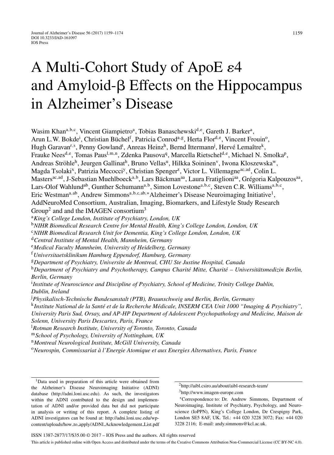# A Multi-Cohort Study of ApoE  $\varepsilon$ 4 and Amyloid- $\beta$  Effects on the Hippocampus in Alzheimer's Disease

Wasim Khan<sup>a,b,c</sup>, Vincent Giampietro<sup>a</sup>, Tobias Banaschewski<sup>d,e</sup>, Gareth J. Barker<sup>a</sup>, Arun L.W. Bokde<sup>i</sup>, Christian Büchel<sup>f</sup>, Patricia Conrod<sup>a, g</sup>, Herta Flor<sup>d, e</sup>, Vincent Frouin<sup>o</sup>, Hugh Garavan<sup>r,s</sup>, Penny Gowland<sup>t</sup>, Anreas Heinz<sup>h</sup>, Bernd Ittermann<sup>j</sup>, Hervé Lemaître<sup>k</sup>, Frauke Nees<sup>d,e</sup>, Tomas Paus<sup>l,m,n</sup>, Zdenka Pausova<sup>q</sup>, Marcella Rietschel<sup>d,e</sup>, Michael N. Smolka<sup>p</sup>, Andreas Ströhle<sup>h</sup>, Jeurgen Gallinat<sup>h</sup>, Bruno Vellas<sup>u</sup>, Hilkka Soininen<sup>v</sup>, Iwona Kloszewska<sup>w</sup>, Magda Tsolaki<sup>x</sup>, Patrizia Mecocci<sup>y</sup>, Christian Spenger<sup>z</sup>, Victor L. Villemagne<sup>ac, ad</sup>, Colin L. Masters<sup>ac,ad</sup>, J-Sebastian Muehlboeck<sup>a,b</sup>, Lars Bäckman<sup>aa</sup>, Laura Fratiglioni<sup>aa</sup>, Grégoria Kalpouzos<sup>aa</sup>, Lars-Olof Wahlund<sup>ab</sup>, Gunther Schumann<sup>a,b</sup>, Simon Lovestone<sup>a,b,c</sup>, Steven C.R. Williams<sup>a,b,c</sup>, Eric Westman<sup>a,ab</sup>, Andrew Simmons<sup>a,b,c,ab,∗</sup>Alzheimer's Disease Neuroimaging Initiative<sup>1</sup>, AddNeuroMed Consortium, Australian, Imaging, Biomarkers, and Lifestyle Study Research Group<sup>2</sup> and and the IMAGEN consortium<sup>3</sup> <sup>a</sup>*King's College London, Institute of Psychiatry, London, UK* <sup>b</sup>*NIHR Biomedical Research Centre for Mental Health, King's College London, London, UK* <sup>c</sup>*NIHR Biomedical Research Unit for Dementia, King's College London, London, UK* <sup>d</sup>*Central Institute of Mental Health, Mannheim, Germany* <sup>e</sup>*Medical Faculty Mannheim, University of Heidelberg, Germany* <sup>f</sup>*Universitaetsklinikum Hamburg Eppendorf, Hamburg, Germany* <sup>g</sup>*Department of Psychiatry, Universite de Montreal, CHU Ste Justine Hospital, Canada* <sup>h</sup>Department of Psychiatry and Psychotherapy, Campus Charité Mitte, Charité – Universitätsmedizin Berlin, *Berlin, Germany* i *Institute of Neuroscience and Discipline of Psychiatry, School of Medicine, Trinity College Dublin, Dublin, Ireland* j *Physikalisch-Technische Bundesanstalt (PTB), Braunschweig und Berlin, Berlin, Germany* <sup>k</sup>*Institute National de la Sant´e et de la Recherche M´edicale, INSERM CEA Unit 1000 "Imaging & Psychiatry", University Paris Sud, Orsay, and AP-HP Department of Adolescent Psychopathology and Medicine, Maison de Solenn, University Paris Descartes, Paris, France* l *Rotman Research Institute, University of Toronto, Toronto, Canada* <sup>m</sup>*School of Psychology, University of Nottingham, UK*

<sup>n</sup>*Montreal Neurological Institute, McGill University, Canada*

<sup>o</sup>*Neurospin, Commissariat `a l'Energie Atomique et aux Energies Alternatives, Paris, France*

<sup>1</sup>Data used in preparation of this article were obtained from the Alzheimer's Disease Neuroimaging Initiative (ADNI) database [\(http://adni.loni.usc.edu](http://adni.loni.usc.edu)). As such, the investigators within the ADNI contributed to the design and implementation of ADNI and/or provided data but did not participate in analysis or writing of this report. A complete listing of ADNI investigators can be found at: http://adni.loni.usc.edu/wpcontent/uploads/how to apply/ADNI Acknowledgement List.pdf

<sup>&</sup>lt;sup>2</sup><http://aibl.csiro.au/about/aibl-research-team/>

<sup>3</sup><http://www.imagen-europe.com>

<sup>∗</sup>Correspondence to: Dr. Andrew Simmons, Department of Neuroimaging, Institute of Psychiatry, Psychology, and Neuroscience (IoPPN), King's College London, De Crespigny Park, [London SE5 8AF, UK. Tel.: +44 020 3228 3072; Fa](http://adni.loni.usc.edu/wp-content/uploads/how_to_apply/ADNI_Acknowledgement_List.pdf)x: +44 020 3228 2116; E-mail: [andy.simmons@kcl.ac.uk.](mailto:andy.simmons@kcl.ac.uk)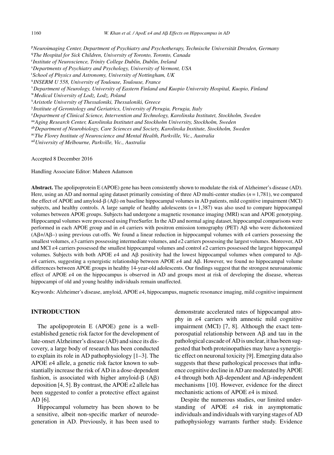<sup>q</sup>*The Hospital for Sick Children, University of Toronto, Toronto, Canada* r *Institute of Neuroscience, Trinity College Dublin, Dublin, Ireland* s *Departments of Psychiatry and Psychology, University of Vermont, USA* t *School of Physics and Astronomy, University of Nottingham, UK* <sup>u</sup>*INSERM U 558, University of Toulouse, Toulouse, France* <sup>v</sup>*Department of Neurology, University of Eastern Finland and Kuopio University Hospital, Kuopio, Finland* <sup>w</sup>*Medical University of Lodz, Lodz, Poland* <sup>x</sup>*Aristotle University of Thessaloniki, Thessaloniki, Greece* <sup>y</sup>*Institute of Gerontology and Geriatrics, University of Perugia, Perugia, Italy* z *Department of Clinical Science, Intervention and Technology, Karolinska Institutet, Stockholm, Sweden*

<sup>p</sup>*Neuroimaging Center, Department of Psychiatry and Psychotherapy, Technische Universit ¨at Dresden, Germany*

aa*Aging Research Center, Karolinska Institutet and Stockholm University, Stockholm, Sweden*

ab*Department of Neurobiology, Care Sciences and Society, Karolinska Institute, Stockholm, Sweden*

ac*The Florey Institute of Neuroscience and Mental Health, Parkville, Vic., Australia*

ad*University of Melbourne, Parkville, Vic., Australia*

Accepted 8 December 2016

Handling Associate Editor: Maheen Adamson

**Abstract.** The apolipoprotein E (APOE) gene has been consistently shown to modulate the risk of Alzheimer's disease (AD). Here, using an AD and normal aging dataset primarily consisting of three AD multi-center studies  $(n = 1.781)$ , we compared the effect of APOE and amyloid- $\beta$  (A $\beta$ ) on baseline hippocampal volumes in AD patients, mild cognitive impairment (MCI) subjects, and healthy controls. A large sample of healthy adolescents  $(n=1,387)$  was also used to compare hippocampal volumes between APOE groups. Subjects had undergone a magnetic resonance imaging (MRI) scan and APOE genotyping. Hippocampal volumes were processed using FreeSurfer. In the AD and normal aging dataset, hippocampal comparisons were performed in each APOE group and in  $\varepsilon$ 4 carriers with positron emission tomography (PET) A $\beta$  who were dichotomized  $(A\beta+A\beta-)$  using previous cut-offs. We found a linear reduction in hippocampal volumes with  $\varepsilon$ 4 carriers possessing the smallest volumes,  $\varepsilon$ 3 carriers possessing intermediate volumes, and  $\varepsilon$ 2 carriers possessing the largest volumes. Moreover, AD and MCI  $\varepsilon$ 4 carriers possessed the smallest hippocampal volumes and control  $\varepsilon$ 2 carriers possessed the largest hippocampal volumes. Subjects with both APOE  $\varepsilon$ 4 and A $\beta$  positivity had the lowest hippocampal volumes when compared to A $\beta$ - $\varepsilon$ 4 carriers, suggesting a synergistic relationship between APOE  $\varepsilon$ 4 and A $\beta$ . However, we found no hippocampal volume differences between APOE groups in healthy 14-year-old adolescents. Our findings suggest that the strongest neuroanatomic effect of APOE  $\varepsilon$ 4 on the hippocampus is observed in AD and groups most at risk of developing the disease, whereas hippocampi of old and young healthy individuals remain unaffected.

Keywords: Alzheimer's disease, amyloid, APOE  $\varepsilon$ 4, hippocampus, magnetic resonance imaging, mild cognitive impairment

# **INTRODUCTION**

The apolipoprotein E (APOE) gene is a wellestablished genetic risk factor for the development of late-onset Alzheimer's disease (AD) and since its discovery, a large body of research has been conducted to explain its role in AD pathophysiology [1–3]. The APOE  $\varepsilon$ 4 allele, a genetic risk factor known to substantially increase the risk of AD in a dose-dependent fashion, is associated with higher amyloid- $\beta$  (A $\beta$ ) deposition [4, 5]. By contrast, the APOE  $\varepsilon$ 2 allele has been suggested to confer a protective effect against AD [6].

Hippocampal volumetry has been shown to be a sensitive, albeit non-specific marker of neurodegeneration in AD. Previously, it has been used to

demonstrate accelerated rates of hippocampal atrophy in  $\varepsilon$ 4 carriers with amnestic mild cognitive impairment (MCI) [7, 8]. Although the exact temporospatial relationship between  $\overrightarrow{AB}$  and tau in the pathological cascade of AD is unclear, it has been suggested that both proteinopathies may have a synergistic effect on neuronal toxicity [9]. Emerging data also suggests that these pathological processes that influence cognitive decline in AD are moderated by APOE  $\varepsilon$ 4 through both A $\beta$ -dependent and A $\beta$ -independent mechanisms [10]. However, evidence for the direct mechanistic actions of APOE  $\varepsilon$ 4 is mixed.

Despite the numerous studies, our limited understanding of APOE  $\varepsilon$ 4 risk in asymptomatic individuals and individuals with varying stages of AD pathophysiology warrants further study. Evidence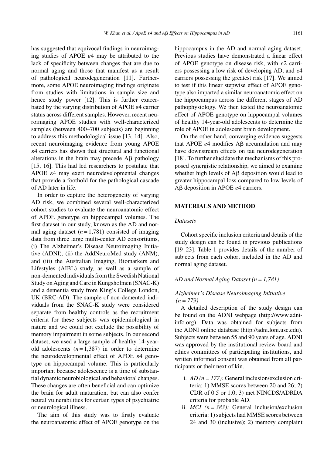has suggested that equivocal findings in neuroimaging studies of APOE  $\varepsilon$ 4 may be attributed to the lack of specificity between changes that are due to normal aging and those that manifest as a result of pathological neurodegeneration [11]. Furthermore, some APOE neuroimaging findings originate from studies with limitations in sample size and hence study power [12]. This is further exacerbated by the varying distribution of APOE  $\varepsilon$ 4 carrier status across different samples. However, recent neuroimaging APOE studies with well-characterized samples (between 400–700 subjects) are beginning to address this methodological issue [13, 14]. Also, recent neuroimaging evidence from young APOE -4 carriers has shown that structural and functional alterations in the brain may precede  $\overrightarrow{AB}$  pathology [15, 16]. This had led researchers to postulate that APOE  $\varepsilon$ 4 may exert neurodevelopmental changes that provide a foothold for the pathological cascade of AD later in life.

In order to capture the heterogeneity of varying AD risk, we combined several well-characterized cohort studies to evaluate the neuroanatomic effect of APOE genotype on hippocampal volumes. The first dataset in our study, known as the AD and normal aging dataset  $(n=1,781)$  consisted of imaging data from three large multi-center AD consortiums, (i) The Alzheimer's Disease Neuroimaging Initiative (ADNI), (ii) the AddNeuroMed study (ANM), and (iii) the Australian Imaging, Biomarkers and Lifestyles (AIBL) study, as well as a sample of non-demented individuals from the Swedish National Study on Aging and Care in Kungsholmen (SNAC-K) and a dementia study from King's College London, UK (BRC-AD). The sample of non-demented individuals from the SNAC-K study were considered separate from healthy controls as the recruitment criteria for these subjects was epidemiological in nature and we could not exclude the possibility of memory impairment in some subjects. In our second dataset, we used a large sample of healthy 14-yearold adolescents  $(n=1,387)$  in order to determine the neurodevelopmental effect of APOE  $\varepsilon$ 4 genotype on hippocampal volume. This is particularly important because adolescence is a time of substantial dynamic neurobiological and behavioral changes. These changes are often beneficial and can optimize the brain for adult maturation, but can also confer neural vulnerabilities for certain types of psychiatric or neurological illness.

The aim of this study was to firstly evaluate the neuroanatomic effect of APOE genotype on the hippocampus in the AD and normal aging dataset. Previous studies have demonstrated a linear effect of APOE genotype on disease risk, with  $\varepsilon$ 2 carriers possessing a low risk of developing AD, and  $\varepsilon$ 4 carriers possessing the greatest risk [17]. We aimed to test if this linear stepwise effect of APOE genotype also imparted a similar neuroanatomic effect on the hippocampus across the different stages of AD pathophysiology. We then tested the neuroanatomic effect of APOE genotype on hippocampal volumes of healthy 14-year-old adolescents to determine the role of APOE in adolescent brain development.

On the other hand, converging evidence suggests that APOE  $\varepsilon$ 4 modifies A $\beta$  accumulation and may have downstream effects on tau neurodegeneration [18]. To further elucidate the mechanisms of this proposed synergistic relationship, we aimed to examine whether high levels of  $\overrightarrow{AB}$  deposition would lead to greater hippocampal loss compared to low levels of Aβ deposition in APOE  $ε4$  carriers.

## **MATERIALS AND METHOD**

## *Datasets*

Cohort specific inclusion criteria and details of the study design can be found in previous publications [19–23]. Table 1 provides details of the number of subjects from each cohort included in the AD and normal aging dataset.

## *AD and Normal Aging Dataset (n = 1,781)*

# *Alzheimer's Disease Neuroimaging Initiative (n = 779)*

A detailed description of the study design can be found on the ADNI webpage [\(http://www.adni](http://www.adni-info.org)info.org). Data was obtained for subjects from the ADNI online database (<http://adni.loni.usc.edu>). Subjects were between 55 and 90 years of age. ADNI was approved by the institutional review board and ethics committees of participating institutions, and written informed consent was obtained from all participants or their next of kin.

- i.  $AD (n = 177)$ : General inclusion/exclusion criteria: 1) MMSE scores between 20 and 26; 2) CDR of 0.5 or 1.0; 3) met NINCDS/ADRDA criteria for probable AD.
- ii. *MCI (n = 383):* General inclusion/exclusion criteria: 1) subjects had MMSE scores between 24 and 30 (inclusive); 2) memory complaint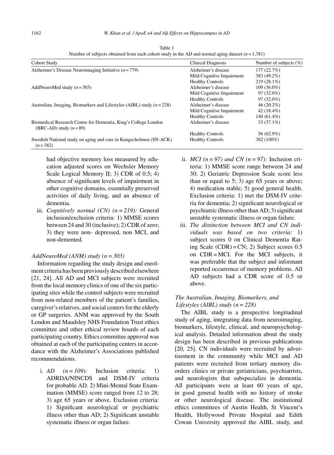| Cohort Study                                                                                | <b>Clinical Diagnosis</b> | Number of subjects $(\% )$ |
|---------------------------------------------------------------------------------------------|---------------------------|----------------------------|
| Alzheimer's Disease Neuroimaging Initiative $(n = 779)$                                     | Alzheimer's disease       | 177(22.7%)                 |
|                                                                                             | Mild Cognitive Impairment | 383 (49.2%)                |
|                                                                                             | <b>Healthy Controls</b>   | $219(28.1\%)$              |
| AddNeuroMed study $(n=303)$                                                                 | Alzheimer's disease       | $109(36.0\%)$              |
|                                                                                             | Mild Cognitive Impairment | $97(32.0\%)$               |
|                                                                                             | <b>Healthy Controls</b>   | $97(32.0\%)$               |
| Australian, Imaging, Biomarkers and Lifestyles (AIBL) study $(n = 228)$                     | Alzheimer's disease       | $46(20.2\%)$               |
|                                                                                             | Mild Cognitive Impairment | 42 (18.4%)                 |
|                                                                                             | <b>Healthy Controls</b>   | $140(61.4\%)$              |
| Biomedical Research Centre for Dementia, King's College London<br>$(BRC-AD)$ study $(n=89)$ | Alzheimer's disease       | $33(37.1\%)$               |
|                                                                                             | <b>Healthy Controls</b>   | 56 (62.9%)                 |
| Swedish National study on aging and care in Kungscholmen (SN-ACK)<br>$(n=382)$              | <b>Healthy Controls</b>   | 382 (100%)                 |

Table 1 Number of subjects obtained from each cohort study in the AD and normal aging dataset  $(n=1,781)$ 

had objective memory loss measured by education adjusted scores on Wechsler Memory Scale Logical Memory II; 3) CDR of 0.5; 4) absence of significant levels of impairment in other cognitive domains, essentially preserved activities of daily living, and an absence of dementia.

iii. *Cognitively normal (CN) (n = 219):* General inclusion/exclusion criteria: 1) MMSE scores between 24 and 30 (inclusive); 2) CDR of zero; 3) they were non- depressed, non MCI, and non-demented.

#### *AddNeuroMed (ANM) study (n = 303)*

Information regarding the study design and enrolment criteria has been previously described elsewhere [21, 24]. All AD and MCI subjects were recruited from the local memory clinics of one of the six participating sites while the control subjects were recruited from non-related members of the patient's families, caregiver's relatives, and social centers for the elderly or GP surgeries. ANM was approved by the South London and Maudsley NHS Foundation Trust ethics committee and other ethical review boards of each participating country. Ethics committee approval was obtained at each of the participating centers in accordance with the Alzheimer's Associations published recommendations.

i.  $AD \quad (n = 109)$ : Inclusion criteria: 1) ADRDA/NINCDS and DSM-IV criteria for probable AD. 2) Mini-Mental State Examination (MMSE) score ranged from 12 to 28; 3) age 65 years or above. Exclusion criteria: 1) Significant neurological or psychiatric illness other than AD; 2) Significant unstable systematic illness or organ failure.

- ii. *MCI* ( $n = 97$ ) and *CN* ( $n = 97$ ): Inclusion criteria: 1) MMSE score range between 24 and 30; 2) Geriatric Depression Scale score less than or equal to 5; 3) age 65 years or above; 4) medication stable; 5) good general health. Exclusion criteria: 1) met the DSM-IV criteria for dementia; 2) significant neurological or psychiatric illness other than AD; 3) significant unstable systematic illness or organ failure.
- iii. *The distinction between MCI and CN individuals was based on two criteria:* 1) subject scores 0 on Clinical Dementia Rating Scale (CDR) = CN; 2) Subject scores 0.5 on CDR = MCI. For the MCI subjects, it was preferable that the subject and informant reported occurrence of memory problems. All AD subjects had a CDR score of 0.5 or above.

# *The Australian, Imaging, Biomarkers, and Lifestyles (AIBL) study (n = 228)*

The AIBL study is a prospective longitudinal study of aging, integrating data from neuroimaging, biomarkers, lifestyle, clinical, and neuropsychological analysis. Detailed information about the study design has been described in previous publications [20, 25]. CN individuals were recruited by advertisement in the community while MCI and AD patients were recruited from tertiary memory disorders clinics or private geriatricians, psychiatrists, and neurologists that subspecialize in dementia. All participants were at least 60 years of age, in good general health with no history of stroke or other neurological disease. The institutional ethics committees of Austin Health, St Vincent's Health, Hollywood Private Hospital and Edith Cowan University approved the AIBL study, and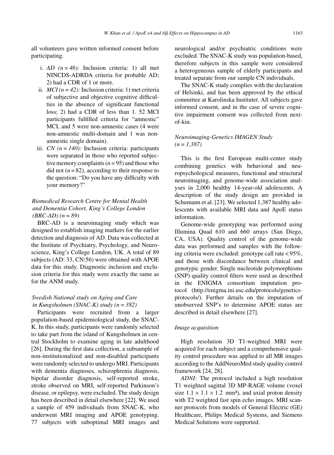all volunteers gave written informed consent before participating.

- i.  $AD$  ( $n = 46$ ): Inclusion criteria: 1) all met NINCDS-ADRDA criteria for probable AD; 2) had a CDR of 1 or more.
- ii.  $MCI(n = 42)$ : Inclusion criteria: 1) met criteria of subjective and objective cognitive difficulties in the absence of significant functional loss; 2) had a CDR of less than 1. 52 MCI participants fulfilled criteria for "amnestic" MCI, and 5 were non-amnestic cases (4 were non-amnestic multi-domain and 1 was nonamnestic single domain).
- iii. *CN (n = 140):* Inclusion criteria: participants were separated in those who reported subjective memory complaints  $(n = 95)$  and those who did not  $(n = 82)$ , according to their response to the question: "Do you have any difficulty with your memory?"

# *Biomedical Research Centre for Mental Health and Dementia Cohort, King's College London (BRC-AD) (n = 89)*

BRC-AD is a neuroimaging study which was designed to establish imaging markers for the earlier detection and diagnosis of AD. Data was collected at the Institute of Psychiatry, Psychology, and Neuroscience, King's College London, UK. A total of 89 subjects (AD: 33, CN:56) were obtained with APOE data for this study. Diagnostic inclusion and exclusion criteria for this study were exactly the same as for the ANM study.

# *Swedish National study on Aging and Care in Kungsholmen (SNAC-K) study (n = 382)*

Participants were recruited from a larger population-based epidemiological study, the SNAC-K. In this study, participants were randomly selected to take part from the island of Kungsholmen in central Stockholm to examine aging in late adulthood [26]. During the first data collection, a subsample of non-institutionalized and non-disabled participants were randomly selected to undergo MRI. Participants with dementia diagnoses, schizophrenia diagnosis, bipolar disorder diagnosis, self-reported stroke, stroke observed on MRI, self-reported Parkinson's disease, or epilepsy, were excluded. The study design has been described in detail elsewhere [22]. We used a sample of 459 individuals from SNAC-K, who underwent MRI imaging and APOE genotyping. 77 subjects with suboptimal MRI images and

neurological and/or psychiatric conditions were excluded. The SNAC-K study was population-based, therefore subjects in this sample were considered a heterogeneous sample of elderly participants and treated separate from our sample CN individuals.

The SNAC-K study complies with the declaration of Helsinki, and has been approved by the ethical committee at Karolinska Institutet. All subjects gave informed consent, and in the case of severe cognitive impairment consent was collected from nextof-kin.

# *Neuroimaging-Genetics IMAGEN Study (n = 1,387)*

This is the first European multi-center study combining genetics with behavioral and neuropsychological measures, functional and structural neuroimaging, and genome-wide association analyses in 2,000 healthy 14-year-old adolescents. A description of the study design are provided in Schumann et al. [23]. We selected 1,387 healthy adolescents with available MRI data and ApoE status information.

Genome-wide genotyping was performed using Illumina Quad 610 and 660 arrays (San Diego, CA, USA). Quality control of the genome-wide data was performed and samples with the following criteria were excluded: genotype call rate < 95%, and those with discordance between clinical and genotypic gender. Single nucleotide polymorphisms (SNP) quality control filters were used as described in the ENIGMA consortium imputation protocol ([http://enigma.ini.usc.edu/protocols/genetics](http://enigma.ini.usc.edu/protocols/genetics-protocols/)protocols/). Further details on the imputation of unobserved SNP's to determine APOE status are described in detail elsewhere [27].

#### *Image acquisition*

High resolution 3D T1-weighted MRI were acquired for each subject and a comprehensive quality control procedure was applied to all MR images according to the AddNeuroMed study quality control framework [24, 28].

*ADNI:* The protocol included a high resolution T1 weighted sagittal 3D MP-RAGE volume (voxel size  $1.1 \times 1.1 \times 1.2$  mm<sup>3</sup>), and axial proton density with T2 weighted fast spin echo images. MRI scanner protocols from models of General Electric (GE) Healthcare, Philips Medical Systems, and Siemens Medical Solutions were supported.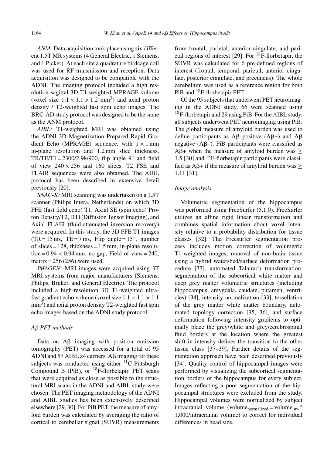*ANM:* Data acquisition took place using six different 1.5T MR systems (4 General Electric, 1 Siemens, and 1 Picker). At each site a quadrature birdcage coil was used for RF transmission and reception. Data acquisition was designed to be compatible with the ADNI. The imaging protocol included a high resolution sagittal 3D T1-weighted MPRAGE volume (voxel size  $1.1 \times 1.1 \times 1.2$  mm<sup>3</sup>) and axial proton density / T2-weighted fast spin echo images. The BRC-AD study protocol was designed to be the same as the ANM protocol.

*AIBL:* T1-weighted MRI was obtained using the ADNI 3D Magnetization Prepared Rapid Gradient Echo (MPRAGE) sequence, with  $1 \times 1$  mm in-plane resolution and 1.2 mm slice thickness, TR/TE/T1 = 2300/2.98/900, flip angle  $9^\circ$  and field of view  $240 \times 256$  and 160 slices. T2 FSE and FLAIR sequences were also obtained. The AIBL protocol has been described in extensive detail previously [20].

*SNAC-K:* MRI scanning was undertaken on a 1.5T scanner (Philips Intera, Netherlands) on which 3D FFE (fast field echo) T1, Axial SE (spin echo) Proton Density/T2, DTI (Diffusion Tensor Imaging), and Axial FLAIR (fluid-attenuated inversion recovery) were acquired. In this study, the 3D FFE T1 images  $(TR = 15 \text{ ms}, TE = 7 \text{ ms}, Filip angle = 15°, number$ of slices  $= 128$ , thickness  $= 1.5$  mm, in-plane resolu- $\text{tion} = 0.94 \times 0.94 \text{ mm}$ , no gap, Field of view = 240, matrix =  $256*256$ ) were used.

*IMAGEN:* MRI images were acquired using 3T MRI systems from major manufacturers (Siemens, Philips, Bruker, and General Electric). The protocol included a high-resolution 3D T1-weighted ultrafast gradient echo volume (voxel size  $1.1 \times 1.1 \times 1.1$  $mm<sup>3</sup>$ ) and axial proton density T2-weighted fast spin echo images based on the ADNI study protocol.

#### *A*β *PET methods*

Data on  $\overrightarrow{AB}$  imaging with positron emission tomography (PET) was accessed for a total of 95 ADNI and 57 AIBL  $\varepsilon$ 4 carriers. A $\beta$  imaging for these subjects was conducted using either  ${}^{11}$ C-Pittsburgh Compound B (PiB), or  $^{18}F$ -florbetapir. PET scans that were acquired as close as possible to the structural MRI scans in the ADNI and AIBL study were chosen. The PET imaging methodology of the ADNI and AIBL studies has been extensively described elsewhere [29, 30]. For PiB PET, the measure of amyloid burden was calculated by averaging the ratio of cortical to cerebellar signal (SUVR) measurements from frontal, parietal, anterior cingulate, and parietal regions of interest [29]. For  $^{18}$ F-florbetapir, the SUVR was calculated for 6 pre-defined regions of interest (frontal, temporal, parietal, anterior cingulate, posterior cingulate, and precuneus). The whole cerebellum was used as a reference region for both PiB and <sup>18</sup>F-florbetapir PET.

Of the 95 subjects that underwent PET neuroimaging in the ADNI study, 66 were scanned using <sup>18</sup>F-florbetapir and 29 using PiB. For the AIBL study, all subjects underwent PET neuroimaging using PiB. The global measure of amyloid burden was used to define participants as  $\overrightarrow{AB}$  positive  $(A\beta+)$  and  $\overrightarrow{AB}$ negative  $(A\beta)$ . PiB participants were classified as A $\beta$ + when the measure of amyloid burden was > 1.5 [30] and 18F-florbetapir participants were classified as A $\beta$ + if the measure of amyloid burden was  $\geq$ 1.11 [31].

# *Image analysis*

Volumetric segmentation of the hippocampus was performed using FreeSurfer (5.1.0). FreeSurfer utilizes an affine rigid linear transformation and combines spatial information about voxel intensity relative to a probability distribution for tissue classes [32]. The Freesurfer segmentation process includes motion correction of volumetric T1-weighted images, removal of non-brain tissue using a hybrid watershed/surface deformation procedure [33], automated Talairach transformation, segmentation of the subcortical white matter and deep grey matter volumetric structures (including hippocampus, amygdala, caudate, putamen, ventricles) [34], intensity normalization [33], tessellation of the grey matter white matter boundary, automated topology correction [35, 36], and surface deformation following intensity gradients to optimally place the grey/white and grey/cerebrospinal fluid borders at the location where the greatest shift in intensity defines the transition to the other tissue class [37–39]. Further details of the segmentation approach have been described previously [34]. Quality control of hippocampal images were performed by visualizing the subcortical segmentation borders of the hippocampus for every subject. Images reflecting a poor segmentation of the hippocampal structures were excluded from the study. Hippocampal volumes were normalized by subject intracranial volume (volume<sub>normalized</sub> = volume<sub>raw</sub><sup>\*</sup> 1,000/intracranial volume) to correct for individual differences in head size.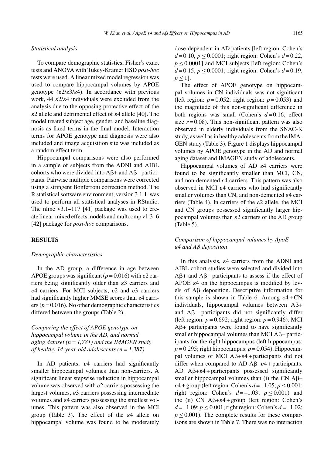#### *Statistical analysis*

To compare demographic statistics, Fisher's exact tests and ANOVA with Tukey-Kramer HSD *post-hoc* tests were used. A linear mixed model regression was used to compare hippocampal volumes by APOE genotype ( $\epsilon$ 2/ $\epsilon$ 3/ $\epsilon$ 4). In accordance with previous work, 44  $\varepsilon$ 2/ $\varepsilon$ 4 individuals were excluded from the analysis due to the opposing protective effect of the  $\varepsilon$ 2 allele and detrimental effect of  $\varepsilon$ 4 allele [40]. The model treated subject age, gender, and baseline diagnosis as fixed terms in the final model. Interaction terms for APOE genotype and diagnosis were also included and image acquisition site was included as a random effect term.

Hippocampal comparisons were also performed in a sample of subjects from the ADNI and AIBL cohorts who were divided into  $\mathbf{A}\mathbf{B}$  and  $\mathbf{A}\mathbf{B}$  – participants. Pairwise multiple comparisons were corrected using a stringent Bonferroni correction method. The R statistical software environment, version 3.1.1, was used to perform all statistical analyses in RStudio. The nlme v3.1–117 [41] package was used to create linear-mixed effects models and multcomp v1.3–6 [42] package for *post-hoc* comparisons.

## **RESULTS**

#### *Demographic characteristics*

In the AD group, a difference in age between APOE groups was significant ( $p = 0.016$ ) with  $\varepsilon$ 2 carriers being significantly older than  $\varepsilon$ 3 carriers and  $\varepsilon$ 4 carriers. For MCI subjects,  $\varepsilon$ 2 and  $\varepsilon$ 3 carriers had significantly higher MMSE scores than  $\varepsilon$ 4 carriers ( $p = 0.016$ ). No other demographic characteristics differed between the groups (Table 2).

# *Comparing the effect of APOE genotype on hippocampal volume in the AD, and normal aging dataset (n = 1,781) and the IMAGEN study of healthy 14-year-old adolescents (n = 1,387)*

In AD patients,  $\varepsilon$ 4 carriers had significantly smaller hippocampal volumes than non-carriers. A significant linear stepwise reduction in hippocampal volume was observed with  $\varepsilon$ 2 carriers possessing the largest volumes,  $\varepsilon$ 3 carriers possessing intermediate volumes and  $\varepsilon$ 4 carriers possessing the smallest volumes. This pattern was also observed in the MCI group (Table 3). The effect of the  $\varepsilon$ 4 allele on hippocampal volume was found to be moderately

dose-dependent in AD patients [left region: Cohen's  $d = 0.10, p \le 0.0001$ ; right region: Cohen's  $d = 0.22$ ,  $p \le 0.0001$ ] and MCI subjects [left region: Cohen's *d* = 0.15, *p*  $\leq$  0.0001; right region: Cohen's *d* = 0.19,  $p < 1$ .

The effect of APOE genotype on hippocampal volumes in CN individuals was not significant (left region:  $p = 0.052$ ; right region:  $p = 0.053$ ) and the magnitude of this non-significant difference in both regions was small (Cohen's *d* = 0.16; effect size  $r = 0.08$ ). This non-significant pattern was also observed in elderly individuals from the SNAC-K study, as well as in healthy adolescents from the IMA-GEN study (Table 3). Figure 1 displays hippocampal volumes by APOE genotype in the AD and normal aging dataset and IMAGEN study of adolescents.

Hippocampal volumes of AD  $\varepsilon$ 4 carriers were found to be significantly smaller than MCI, CN, and non-demented  $\varepsilon$ 4 carriers. This pattern was also observed in MCI  $\varepsilon$ 4 carriers who had significantly smaller volumes than CN, and non-demented  $\varepsilon$ 4 carriers (Table 4). In carriers of the  $\varepsilon$ 2 allele, the MCI and CN groups possessed significantly larger hippocampal volumes than  $\varepsilon$ 2 carriers of the AD group (Table 5).

# *Comparison of hippocampal volumes by ApoE* -*4 and A*β *deposition*

In this analysis,  $\varepsilon$ 4 carriers from the ADNI and AIBL cohort studies were selected and divided into  $A\beta$ + and  $A\beta$ – participants to assess if the effect of APOE  $\varepsilon$ 4 on the hippocampus is modified by levels of  $A\beta$  deposition. Descriptive information for this sample is shown in Table 6. Among  $\varepsilon$ 4+CN individuals, hippocampal volumes between  $A\beta +$ and  $A\beta$ – participants did not significantly differ (left region:  $p = 0.692$ ; right region:  $p = 0.946$ ). MCI  $A\beta$ + participants were found to have significantly smaller hippocampal volumes than MCI  $\mathbf{A}\mathbf{B}$ – participants for the right hippocampus (left hippocampus:  $p = 0.295$ ; right hippocampus:  $p = 0.054$ ). Hippocampal volumes of MCI  $A\beta+\varepsilon$ 4+ participants did not differ when compared to AD  $\mathbf{A}\mathbf{B}+\mathbf{\varepsilon}4 + \mathbf{participants}$ .  $AD \quad A\beta + \varepsilon^4 +$  participants possessed significantly smaller hippocampal volumes than (i) the CN  $\mathbf{A}\mathbf{B}$ – -4 + group (left region: Cohen's *d* = –1.05; *p* ≤ 0.001; right region: Cohen's  $d = -1.03$ ;  $p \le 0.001$ ) and the (ii) CN  $A\beta + \varepsilon 4 + \text{group}$  (left region: Cohen's  $d = -1.09$ ;  $p \le 0.001$ ; right region: Cohen's  $d = -1.02$ ;  $p \leq 0.001$ ). The complete results for these comparisons are shown in Table 7. There was no interaction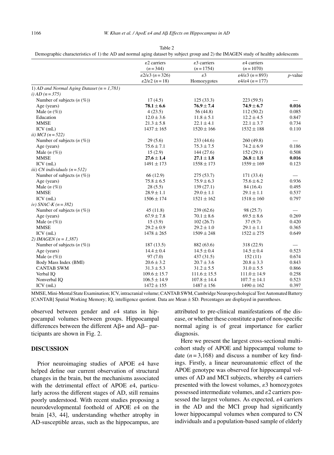|                                              | $\varepsilon$ 2 carriers             | $\varepsilon$ 3 carriers   | ε4 carriers                                           |            |
|----------------------------------------------|--------------------------------------|----------------------------|-------------------------------------------------------|------------|
|                                              | $(n=344)$                            | $(n=1754)$                 | $(n=1070)$                                            |            |
|                                              | $\epsilon$ 2/ $\epsilon$ 3 (n = 326) | $\varepsilon$ <sup>3</sup> | $\overline{\varepsilon}$ 4/ $\varepsilon$ 3 (n = 893) | $p$ -value |
|                                              | $\epsilon 2/\epsilon 2$ (n = 18)     | Homozygotes                | $\epsilon 4/\epsilon 4$ (n = 177)                     |            |
| 1) AD and Normal Aging Dataset $(n = 1,781)$ |                                      |                            |                                                       |            |
| $i) AD (n = 375)$                            |                                      |                            |                                                       |            |
| Number of subjects $(n \, (\%)$              | 17(4.5)                              | 125(33.3)                  | 223(59.5)                                             |            |
| Age (years)                                  | $78.1 \pm 6.6$                       | $76.9 \pm 7.4$             | $74.9 \pm 6.7$                                        | 0.016      |
| Male $(n \, (\%)$                            | 4(23.5)                              | 56 (44.8)                  | 112(50.2)                                             | 0.085      |
| Education                                    | $12.0 \pm 3.6$                       | $11.8 \pm 5.1$             | $12.2 \pm 4.5$                                        | 0.847      |
| <b>MMSE</b>                                  | $21.3 \pm 5.8$                       | $22.1 \pm 4.1$             | $22.1 \pm 3.7$                                        | 0.734      |
| $ICV$ (mL)                                   | $1437 \pm 165$                       | $1520 \pm 166$             | $1532 \pm 188$                                        | 0.110      |
| ii) $MCI (n = 522)$                          |                                      |                            |                                                       |            |
| Number of subjects $(n \, (\%)$              | 29(5.6)                              | 233 (44.6)                 | 260(49.8)                                             |            |
| Age (years)                                  | $75.6 \pm 7.1$                       | $75.3 \pm 7.5$             | $74.2 \pm 6.9$                                        | 0.186      |
| Male $(n \, (\%)$                            | 15(2.9)                              | 144(27.6)                  | 152(29.1)                                             | 0.508      |
| <b>MMSE</b>                                  | $27.6 \pm 1.4$                       | $27.1 \pm 1.8$             | $26.8 \pm 1.8$                                        | 0.016      |
| $ICV$ (mL)                                   | $1491 \pm 173$                       | $1558 \pm 173$             | $1559 \pm 169$                                        | 0.123      |
| iii) CN individuals $(n = 512)$              |                                      |                            |                                                       |            |
| Number of subjects $(n \, (\%))$             | 66 (12.9)                            | 275(53.7)                  | 171 (33.4)                                            |            |
| Age (years)                                  | $75.8 \pm 6.5$                       | $75.9 \pm 6.3$             | $75.6 \pm 6.2$                                        | 0.936      |
| Male $(n \, (\%)$                            | 28(5.5)                              | 139(27.1)                  | 84 (16.4)                                             | 0.495      |
| MMSE                                         | $28.9 \pm 1.1$                       | $29.0\pm1.1$               | $29.1 \pm 1.1$                                        | 0.537      |
| ICV (mL)                                     | $1506 \pm 174$                       | $1521 \pm 162$             | $1518 \pm 160$                                        | 0.797      |
| iv) SNAC-K $(n = 382)$                       |                                      |                            |                                                       |            |
| Number of subjects $(n \, (\%))$             | 45(11.8)                             | 239(62.6)                  | 98 (25.7)                                             |            |
| Age (years)                                  | $67.9 \pm 7.8$                       | $70.1 \pm 8.6$             | $69.5 \pm 8.6$                                        | 0.269      |
| Male $(n \, (\%)$                            | 15(3.9)                              | 102(26.7)                  | 37(9.7)                                               | 0.420      |
| <b>MMSE</b>                                  | $29.2 \pm 0.9$                       | $29.2 \pm 1.0$             | $29.1 \pm 1.1$                                        | 0.365      |
| $ICV$ (mL)                                   | $1478 \pm 265$                       | $1509 \pm 248$             | $1522 \pm 275$                                        | 0.649      |
| 2) IMAGEN $(n = 1,387)$                      |                                      |                            |                                                       |            |
| Number of subjects $(n \, (\%))$             | 187(13.5)                            | 882 (63.6)                 | 318 (22.9)                                            |            |
| Age (years)                                  | $14.4 \pm 0.4$                       | $14.5 \pm 0.4$             | $14.5 \pm 0.4$                                        | 0.523      |
| Male $(n \, (\%)$                            | 97(7.0)                              | 437 (31.5)                 | 152(11)                                               | 0.674      |
| Body Mass Index (BMI)                        | $20.6 \pm 3.2$                       | $20.7 \pm 3.6$             | $20.8 \pm 3.3$                                        | 0.843      |
| <b>CANTAB SWM</b>                            | $31.3 \pm 5.3$                       | $31.2 \pm 5.5$             | $31.0 \pm 5.5$                                        | 0.866      |
| Verbal IQ                                    | $109.6 \pm 15.7$                     | $111.6 \pm 15.5$           | $111.0 \pm 14.9$                                      | 0.258      |
| Nonverbal IQ                                 | $106.5 \pm 14.9$                     | $107.8 \pm 14.4$           | $107.7 \pm 14.1$                                      | 0.523      |
| $ICV$ (mL)                                   | $1472 \pm 155$                       | $1487 \pm 156$             | $1490 \pm 162$                                        | 0.397      |

Table 2 Demographic characteristics of 1) the AD and normal aging dataset by subject group and 2) the IMAGEN study of healthy adolescents

MMSE, Mini-Mental State Examination; ICV, intracranial volume; CANTAB SWM, Cambridge Neuropsychological Test Automated Battery [CANTAB] Spatial Working Memory; IQ, intelligence quotient. Data are Mean ± SD. Percentages are displayed in parentheses.

observed between gender and  $\varepsilon$ 4 status in hippocampal volumes between groups. Hippocampal differences between the different  $A\beta$ + and  $A\beta$ – participants are shown in Fig. 2.

## **DISCUSSION**

Prior neuroimaging studies of APOE  $\varepsilon$ 4 have helped define our current observation of structural changes in the brain, but the mechanisms associated with the detrimental effect of APOE  $\varepsilon$ 4, particularly across the different stages of AD, still remains poorly understood. With recent studies proposing a neurodevelopmental foothold of APOE  $\varepsilon$ 4 on the brain [43, 44], understanding whether atrophy in AD-susceptible areas, such as the hippocampus, are

attributed to pre-clinical manifestations of the disease, or whether these constitute a part of non-specific normal aging is of great importance for earlier diagnosis.

Here we present the largest cross-sectional multicohort study of APOE and hippocampal volume to date  $(n=3,168)$  and discuss a number of key findings. Firstly, a linear neuroanatomic effect of the APOE genotype was observed for hippocampal volumes of AD and MCI subjects, whereby  $\varepsilon$ 4 carriers presented with the lowest volumes,  $\varepsilon$ 3 homozygotes possessed intermediate volumes, and  $\varepsilon$ 2 carriers possessed the largest volumes. As expected,  $\varepsilon$ 4 carriers in the AD and the MCI group had significantly lower hippocampal volumes when compared to CN individuals and a population-based sample of elderly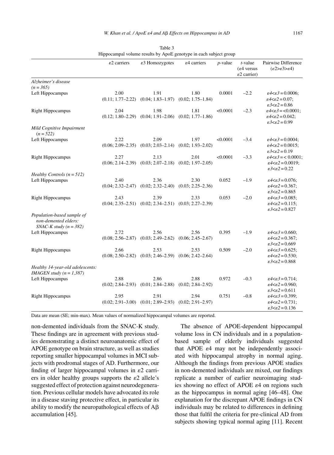|                                                                                | . .                   |                                                                     |                               |                 |                                                         |                                                                                                                                                         |
|--------------------------------------------------------------------------------|-----------------------|---------------------------------------------------------------------|-------------------------------|-----------------|---------------------------------------------------------|---------------------------------------------------------------------------------------------------------------------------------------------------------|
|                                                                                | $\epsilon$ 2 carriers | $\epsilon$ 3 Homozygotes                                            | $\varepsilon$ 4 carriers      | <i>p</i> -value | t-value<br>$\epsilon$ 4 versus<br>$\epsilon$ 2 carrier) | Pairwise Difference<br>$(\varepsilon 2 > \varepsilon 3 > \varepsilon 4)$                                                                                |
| Alzheimer's disease<br>$(n = 365)$                                             |                       |                                                                     |                               |                 |                                                         |                                                                                                                                                         |
| Left Hippocampus                                                               | 2.00                  | 1.91<br>$(0.11; 1.77-2.22)$ $(0.04; 1.83-1.97)$                     | 1.80<br>$(0.02; 1.75-1.84)$   | 0.0001          | $-2.2$                                                  | $\epsilon$ 4< $\epsilon$ 3 = 0.0006;<br>$\epsilon 4 < \epsilon 2 = 0.07$ ;                                                                              |
| <b>Right Hippocampus</b>                                                       | 2.04                  | 1.98<br>$(0.12; 1.80-2.29)$ $(0.04; 1.91-2.06)$ $(0.02; 1.77-1.86)$ | 1.81                          | < 0.0001        | $-2.3$                                                  | $\epsilon$ 3< $\epsilon$ 2=0.86<br>$\epsilon$ 4< $\epsilon$ 3 = <0.0001;<br>$\epsilon$ 4< $\epsilon$ 2=0.042;                                           |
| Mild Cognitive Impairment                                                      |                       |                                                                     |                               |                 |                                                         | $\epsilon 3 < \epsilon 2 = 0.99$                                                                                                                        |
| $(n = 522)$                                                                    |                       |                                                                     |                               |                 |                                                         |                                                                                                                                                         |
| Left Hippocampus                                                               | 2.22                  | 2.09<br>$(0.06; 2.09-2.35)$ $(0.03; 2.03-2.14)$                     | 1.97<br>$(0.02; 1.93 - 2.02)$ | < 0.0001        | $-3.4$                                                  | $\epsilon 4 \lt \epsilon 3 = 0.0004$ ;<br>$\epsilon$ 4< $\epsilon$ 2=0.0015;<br>$\epsilon 3 < \epsilon 2 = 0.19$                                        |
| Right Hippocampus                                                              | 2.27                  | 2.13<br>$(0.06; 2.14-2.39)$ $(0.03; 2.07-2.18)$                     | 2.01<br>$(0.02; 1.97 - 2.05)$ | < 0.0001        | $-3.3$                                                  | $\epsilon 4 < \epsilon 3 = 0.0001$ ;<br>$\epsilon$ 4< $\epsilon$ 2=0.0019;<br>$\epsilon 3 < \epsilon 2 = 0.22$                                          |
| Healthy Controls $(n = 512)$                                                   |                       |                                                                     |                               |                 |                                                         |                                                                                                                                                         |
| Left Hippocampus                                                               | 2.40                  | 2.36<br>$(0.04; 2.32-2.47)$ $(0.02; 2.32-2.40)$                     | 2.30<br>$(0.03; 2.25 - 2.36)$ | 0.052           | $-1.9$                                                  | $\epsilon 4 \lt \epsilon 3 = 0.076$ ;<br>$\epsilon 4 \lt \epsilon 2 = 0.367$ ;                                                                          |
| Right Hippocampus                                                              | 2.43                  | 2.39<br>$(0.04; 2.35-2.51)$ $(0.02; 2.34-2.51)$                     | 2.33<br>$(0.03; 2.27 - 2.39)$ | 0.053           | $-2.0$                                                  | $\epsilon$ 3< $\epsilon$ 2=0.865<br>$\epsilon$ 4< $\epsilon$ 3=0.085;<br>$\epsilon 4 < \epsilon 2 = 0.115$ ;<br>$\epsilon 3 \lt \epsilon 2 = 0.827$     |
| Population-based sample of<br>non-demented elders:<br>SNAC-K study $(n = 382)$ |                       |                                                                     |                               |                 |                                                         |                                                                                                                                                         |
| Left Hippocampus                                                               | 2.72                  | 2.56<br>$(0.08; 2.56-2.87)$ $(0.03; 2.49-2.62)$                     | 2.56<br>$(0.06; 2.45 - 2.67)$ | 0.395           | $-1.9$                                                  | $\epsilon$ 4< $\epsilon$ 3=0.660;<br>$\epsilon 4 < \epsilon 2 = 0.367$ ;                                                                                |
|                                                                                |                       |                                                                     |                               |                 |                                                         | $\epsilon$ 3< $\epsilon$ 2=0.669                                                                                                                        |
| Right Hippocampus                                                              | 2.66                  | 2.53<br>$(0.08; 2.50-2.82)$ $(0.03; 2.46-2.59)$ $(0.06; 2.42-2.64)$ | 2.53                          | 0.509           | $-2.0$                                                  | $\epsilon 4 < \epsilon 3 = 0.625$ ;<br>$\epsilon 4 < \epsilon 2 = 0.530$ ;<br>$\epsilon$ 3< $\epsilon$ 2=0.868                                          |
| Healthy 14-year-old adolescents:<br>IMAGEN study $(n = 1,387)$                 |                       |                                                                     |                               |                 |                                                         |                                                                                                                                                         |
| Left Hippocampus                                                               | 2.88                  | 2.86<br>$(0.02; 2.84-2.93)$ $(0.01; 2.84-2.88)$                     | 2.88<br>$(0.02; 2.84 - 2.92)$ | 0.972           | $-0.3$                                                  | $\epsilon 4 \lt \epsilon 3 = 0.714$ ;<br>$\epsilon 4 \lt \epsilon 2 = 0.960$ ;                                                                          |
| <b>Right Hippocampus</b>                                                       | 2.95                  | 2.91<br>$(0.02; 2.91-3.00)$ $(0.01; 2.89-2.93)$                     | 2.94<br>$(0.02; 2.91 - 2.97)$ | 0.751           | $-0.8$                                                  | $\epsilon 3 < \epsilon 2 = 0.611$<br>$\epsilon 4 \lt \epsilon 3 = 0.399$ ;<br>$\epsilon 4 \lt \epsilon 2 = 0.731$ ;<br>$\epsilon$ 3< $\epsilon$ 2=0.136 |

Table 3 Hippocampal volume results by ApoE genotype in each subject group

Data are mean (SE; min-max). Mean values of normalized hippocampal volumes are reported.

non-demented individuals from the SNAC-K study. These findings are in agreement with previous studies demonstrating a distinct neuroanatomic effect of APOE genotype on brain structure, as well as studies reporting smaller hippocampal volumes in MCI subjects with prodromal stages of AD. Furthermore, our finding of larger hippocampal volumes in  $\varepsilon$ 2 carriers in older healthy groups supports the  $\varepsilon$ 2 allele's suggested effect of protection against neurodegeneration. Previous cellular models have advocated its role in a disease staving protective effect, in particular its ability to modify the neuropathological effects of  $A\beta$ accumulation [45].

The absence of APOE-dependent hippocampal volume loss in CN individuals and in a populationbased sample of elderly individuals suggested that APOE  $\varepsilon$ 4 may not be independently associated with hippocampal atrophy in normal aging. Although the findings from previous APOE studies in non-demented individuals are mixed, our findings replicate a number of earlier neuroimaging studies showing no effect of APOE  $\varepsilon$ 4 on regions such as the hippocampus in normal aging [46–48]. One explanation for the discrepant APOE findings in CN individuals may be related to differences in defining those that fulfil the criteria for pre-clinical AD from subjects showing typical normal aging [11]. Recent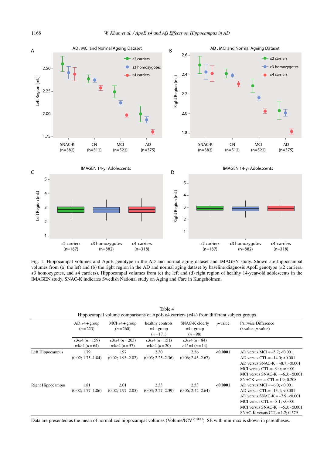

Fig. 1. Hippocampal volumes and ApoE genotype in the AD and normal aging dataset and IMAGEN study. Shown are hippocampal volumes from (a) the left and (b) the right region in the AD and normal aging dataset by baseline diagnosis ApoE genotype ( $\varepsilon$ 2 carriers,  $\varepsilon$ 3 homozygotes, and  $\varepsilon$ 4 carriers). Hippocampal volumes from (c) the left and (d) right region of healthy 14-year-old adolescents in the IMAGEN study. SNAC-K indicates Swedish National study on Aging and Care in Kungsholmen.

|                   |                                                                       |                                                                                                                   | Table 4                                                               |                                                                                       |            |                                                                                                                                                                                                                             |
|-------------------|-----------------------------------------------------------------------|-------------------------------------------------------------------------------------------------------------------|-----------------------------------------------------------------------|---------------------------------------------------------------------------------------|------------|-----------------------------------------------------------------------------------------------------------------------------------------------------------------------------------------------------------------------------|
|                   |                                                                       | Hippocampal volume comparisons of ApoE $\varepsilon$ 4 carriers ( $\varepsilon$ 4+) from different subject groups |                                                                       |                                                                                       |            |                                                                                                                                                                                                                             |
|                   | AD $\varepsilon$ 4 + group<br>$(n=223)$                               | MCI $\varepsilon$ 4 + group<br>$(n=260)$                                                                          | healthy controls<br>$\varepsilon$ 4 + group<br>$(n=171)$              | SNAC-K elderly<br>$\varepsilon$ 4 + group<br>$(n=98)$                                 | $p$ -value | Pairwise Difference<br>$(t$ -value; $p$ -value)                                                                                                                                                                             |
|                   | $\epsilon 3/\epsilon 4$ (n = 159)<br>$\epsilon 4/\epsilon 4$ (n = 64) | $\epsilon$ 3/ $\epsilon$ 4 (n = 203)<br>$\epsilon 4/\epsilon 4$ (n = 57)                                          | $\epsilon 3/\epsilon 4$ (n = 151)<br>$\epsilon 4/\epsilon 4$ $(n=20)$ | $\epsilon 3/\epsilon 4$ (n = 84)<br>$\varepsilon$ 4/ $\varepsilon$ 4 ( <i>n</i> = 14) |            |                                                                                                                                                                                                                             |
| Left Hippocampus  | 1.79<br>$(0.02; 1.75-1.84)$                                           | 1.97<br>$(0.02; 1.93 - 2.02)$                                                                                     | 2.30<br>$(0.03; 2.25 - 2.36)$                                         | 2.56<br>$(0.06; 2.45 - 2.67)$                                                         | < 0.0001   | AD versus $MCI = -5.7$ ; <0.001<br>AD versus $CTL = -14.0$ ; <0.001<br>AD versus SNAC-K = $-8.7$ ; < 0.001<br>MCI versus $CTL = -9.0$ ; <0.001<br>MCI versus $SNAC-K = -6.3$ ; <0.001<br>SNACK versus $CTL = 1.9$ ; 0.208   |
| Right Hippocampus | 1.81<br>$(0.02; 1.77-1.86)$                                           | 2.01<br>$(0.02; 1.97-2.05)$                                                                                       | 2.33<br>$(0.03; 2.27 - 2.39)$                                         | 2.53<br>$(0.06; 2.42 - 2.64)$                                                         | < 0.0001   | AD versus $MCI = -6.0$ ; <0.001<br>AD versus $CTL = -13.4$ ; <0.001<br>AD versus SNAC-K = $-7.9$ ; < 0.001<br>MCI versus $CTL = -8.1$ ; <0.001<br>MCI versus $SNAC-K = -5.3$ ; < 0.001<br>SNAC-K versus $CTL = 1.2$ ; 0.579 |

Data are presented as the mean of normalized hippocampal volumes (Volume/ICV $\times$ 1000). SE with min-max is shown in parentheses.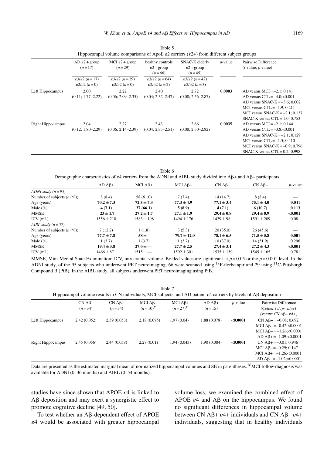|                          | AD $\varepsilon$ 2 + group<br>$(n=17)$                              | MCI $\varepsilon$ 2 + group<br>$(n=29)$                             | healthy controls<br>$\epsilon$ 2 + group<br>$(n=66)$                | SNAC-K elderly<br>$\varepsilon$ 2 + group<br>$(n=45)$               | $p$ -value | Pairwise Difference<br>$(t$ -value; $p$ -value)                                                                                                                                                                      |
|--------------------------|---------------------------------------------------------------------|---------------------------------------------------------------------|---------------------------------------------------------------------|---------------------------------------------------------------------|------------|----------------------------------------------------------------------------------------------------------------------------------------------------------------------------------------------------------------------|
|                          | $\epsilon 3/\epsilon 2$ (n = 17)<br>$\epsilon 2/\epsilon 2$ $(n=0)$ | $\epsilon 3/\epsilon 2$ (n = 29)<br>$\epsilon 2/\epsilon 2$ $(n=0)$ | $\epsilon 3/\epsilon 2$ (n = 64)<br>$\epsilon 2/\epsilon 2$ $(n=2)$ | $\epsilon 3/\epsilon 2$ (n = 42)<br>$\epsilon 2/\epsilon 2$ (n = 3) |            |                                                                                                                                                                                                                      |
| Left Hippocampus         | 2.00<br>$(0.11; 1.77-2.22)$                                         | 2.22<br>$(0.06; 2.09 - 2.35)$                                       | 2.40<br>$(0.04; 2.32 - 2.47)$                                       | 2.72<br>$(0.08; 2.56 - 2.87)$                                       | 0.0003     | AD versus $MCI = -2.1$ ; 0.141<br>AD versus $CTL = -4.0; < 0.001$<br>AD versus $SNAC-K = -3.6$ ; 0.002<br>MCI versus $CTL = -1.9$ ; 0.211<br>MCI versus $SNAC-K = -2.1$ ; 0.137<br>SNAC-K versus $CTL = 1.0$ : 0.753 |
| <b>Right Hippocampus</b> | 2.04<br>$(0.12; 1.80 - 2.29)$                                       | 2.27<br>$(0.06; 2.14 - 2.39)$                                       | 2.43<br>$(0.04; 2.35 - 2.51)$                                       | 2.66<br>$(0.08; 2.50 - 2.82)$                                       | 0.0035     | AD versus $MCI = -2.1: 0.144$<br>AD versus $CTL = -3.8$ ; < 0.001<br>AD versus $SNAC-K = -2.1$ ; 0.129<br>MCI versus $CTL = -1.5$ ; 0.410<br>MCI versus $SNAC-K = -0.9$ ; 0.796<br>SNAC-K versus $CTL = 0.2$ ; 0.998 |

Table  $5 \overline{1}$ Hippocampal volume comparisons of ApoE  $\varepsilon$ 2 carriers ( $\varepsilon$ 2+) from different subject groups

Table 6 Demographic characteristics of  $\varepsilon$ 4 carriers from the ADNI and AIBL study divided into  $\mathsf{A}\mathsf{B}+$  and  $\mathsf{A}\mathsf{B}-$  participants

|                                 | $AD AB+$       | $MCI$ A $\beta$ + | MCI $AB-$       | $CN A\beta+$   | $CN$ A $\beta$ - | $p$ -value |
|---------------------------------|----------------|-------------------|-----------------|----------------|------------------|------------|
| ADNI study $(n=95)$             |                |                   |                 |                |                  |            |
| Number of subjects $(n \ (\%))$ | 8(8.4)         | 58 (61.0)         | 7(7.4)          | 14(14.7)       | 8(8.4)           |            |
| Age (years)                     | $70.2 \pm 7.3$ | $72.5 \pm 7.3$    | $77.3 \pm 4.9$  | $77.1 \pm 3.4$ | $75.1 \pm 4.0$   | 0.041      |
| Male $(\%)$                     | 4(7.1)         | 37(66.1)          | 5(8.9)          | 4(7.1)         | 6(10.7)          | 0.113      |
| MMSE                            | $23 \pm 1.7$   | $27.2 \pm 1.7$    | $27.1 \pm 1.9$  | $29.4 \pm 0.8$ | $29.4 \pm 0.9$   | < 0.001    |
| $ICV$ (mL)                      | $1556 \pm 210$ | $1583 \pm 198$    | $1494 \pm 176$  | $1429 \pm 98$  | $1591 \pm 209$   | 0.08       |
| AIBL study $(n = 57)$           |                |                   |                 |                |                  |            |
| Number of subjects $(n \ (\%))$ | 7(12.2)        | 1(1.8)            | 3(5.3)          | 20(35.0)       | 26(45.6)         |            |
| Age (years)                     | $77.7 \pm 7.8$ | $58 + -$          | $79.7 \pm 12.0$ | $78.1 \pm 6.5$ | $71.5 \pm 5.8$   | 0.001      |
| Male $(\%)$                     | 1(3.7)         | 1(3.7)            | 1(3.7)          | 10(37.0)       | 14(51.9)         | 0.296      |
| MMSE                            | $19.4 \pm 3.8$ | $27.0 + -$        | $27.7 \pm 2.5$  | $27.4 \pm 3.1$ | $27.2 + 4.3$     | < 0.001    |
| $ICV$ (mL)                      | $1466 \pm 87$  | $1515 \pm -$      | $1592 \pm 301$  | $1535 \pm 159$ | $1545 \pm 165$   | 0.781      |

MMSE, Mini-Mental State Examination; ICV, intracranial volume. Bolded values are significant at  $p < 0.05$  or the  $p < 0.001$  level. In the ADNI study, of the 95 subjects who underwent PET neuroimaging, 66 were scanned using <sup>18</sup>F-florbetapir and 29 using <sup>11</sup>C-Pittsburgh Compound B (PiB). In the AIBL study, all subjects underwent PET neuroimaging using PiB.

Table 7 Hippocampal volume results in CN individuals, MCI subjects, and AD patient  $\varepsilon$ 4 carriers by levels of A $\beta$  deposition CN  $\mathbf{A}\mathbf{B}$ – CN  $\mathbf{A}\mathbf{B}$ + MCI  $\mathbf{A}\mathbf{B}$  MCI  $\mathbf{A}\mathbf{B}$ +  $\mathbf{A}\mathbf{D}\mathbf{A}\mathbf{B}$ +  $\mathbf{p}$ -value Pairwise Difference  $(n=34)$   $(n=34)$   $(n=10)^{3}$  $(n=27)^{4}$  (*n* = 15) (*Cohen*'*s d*; *p-value*)  $(\text{versus CN }A\beta - \varepsilon 4+)$ Left Hippocampus 2.42 (0.052) 2.39 (0.053) 2.18 (0.095) 1.97 (0.04) 1.88 (0.078)  $\leq 0.0001$  CN A $\beta$ + = –0.08; 0.692 MCI  $A\beta$ – = –0.42;<0.0001 MCI  $\text{A}\beta$ + = -1.26;<0.0001  $AD A\beta+ = -1.09; < 0.0001$ Right Hippocampus 2.45 (0.056) 2.44 (0.058) 2.27 (0.01) 1.94 (0.043) 1.90 (0.084) **<0.0001** CN A $\beta$ + = -0.01; 0.946 MCI A $\beta$ – = –0.29; 0.147 MCI  $\text{A}\beta$ + = -1.26;<0.0001 AD  $\mathsf{A}\mathsf{B}\text{+} = -1.02; < 0.0001$ 

Data are presented as the estimated marginal mean of normalized hippocampal volumes and SE in parentheses. <sup>¥</sup>MCI follow diagnosis was available for ADNI (0–36 months) and AIBL (0–54 months).

studies have since shown that APOE  $\varepsilon$ 4 is linked to  $\Delta \beta$  deposition and may exert a synergistic effect to promote cognitive decline [49, 50].

To test whether an  $\mathsf{A}\beta$ -dependent effect of  $\mathsf{APOE}$ -4 would be associated with greater hippocampal

volume loss, we examined the combined effect of APOE  $\varepsilon$ 4 and A $\beta$  on the hippocampus. We found no significant differences in hippocampal volume between CN A $\beta$ +  $\varepsilon$ 4+ individuals and CN A $\beta$ –  $\varepsilon$ 4+ individuals, suggesting that in healthy individuals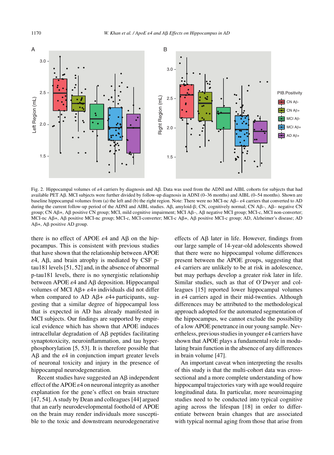

Fig. 2. Hippocampal volumes of ε4 carriers by diagnosis and Aβ. Data was used from the ADNI and AIBL cohorts for subjects that had available PET AB. MCI subjects were further divided by follow-up diagnosis in ADNI (0–36 months) and AIBL (0–54 months). Shown are baseline hippocampal volumes from (a) the left and (b) the right region. Note: There were no MCI-nc  $\mathsf{AB}-\varepsilon 4$  carriers that converted to AD during the current follow-up period of the ADNI and AIBL studies. A $\beta$ , amyloid- $\beta$ ; CN, cognitively normal; CN A $\beta$ –, A $\beta$ – negative CN group; CN Aβ+, Aβ positive CN group; MCI, mild cognitive impairment; MCI Aβ-, Aβ negative MCI group; MCI-c, MCI non-converter; MCI-nc AB+, AB positive MCI-nc group; MCI-c, MCI-converter; MCI-c AB+, AB positive MCI-c group; AD, Alzheimer's disease; AD  $A\beta$ +,  $A\beta$  positive AD group.

there is no effect of APOE  $\varepsilon$ 4 and A $\beta$  on the hippocampus. This is consistent with previous studies that have shown that the relationship between APOE  $\varepsilon$ 4, A $\beta$ , and brain atrophy is mediated by CSF ptau181 levels [51, 52] and, in the absence of abnormal p-tau181 levels, there is no synergistic relationship between APOE  $\varepsilon$ 4 and A $\beta$  deposition. Hippocampal volumes of MCI A $\beta$ +  $\varepsilon$ 4+ individuals did not differ when compared to AD A $\beta$ +  $\varepsilon$ 4+ participants, suggesting that a similar degree of hippocampal loss that is expected in AD has already manifested in MCI subjects. Our findings are supported by empirical evidence which has shown that APOE induces intracellular degradation of  $\overrightarrow{AB}$  peptides facilitating synaptotoxicity, neuroinflammation, and tau hyperphosphorylation [5, 53]. It is therefore possible that  $\text{A}\beta$  and the  $\varepsilon$ 4 in conjunction impart greater levels of neuronal toxicity and injury in the presence of hippocampal neurodegeneration.

Recent studies have suggested an  $\overrightarrow{AB}$  independent effect of the APOE  $\varepsilon$ 4 on neuronal integrity as another explanation for the gene's effect on brain structure [47, 54]. A study by Dean and colleagues [44] argued that an early neurodevelopmental foothold of APOE on the brain may render individuals more susceptible to the toxic and downstream neurodegenerative

effects of  $A\beta$  later in life. However, findings from our large sample of 14-year-old adolescents showed that there were no hippocampal volume differences present between the APOE groups, suggesting that -4 carriers are unlikely to be at risk in adolescence, but may perhaps develop a greater risk later in life. Similar studies, such as that of O'Dwyer and colleagues [15] reported lower hippocampal volumes in  $\varepsilon$ 4 carriers aged in their mid-twenties. Although differences may be attributed to the methodological approach adopted for the automated segmentation of the hippocampus, we cannot exclude the possibility of a low APOE penetrance in our young sample. Nevertheless, previous studies in younger  $\varepsilon$ 4 carriers have shown that APOE plays a fundamental role in modulating brain function in the absence of any differences in brain volume [47].

An important caveat when interpreting the results of this study is that the multi-cohort data was crosssectional and a more complete understanding of how hippocampal trajectories vary with age would require longitudinal data. In particular, more neuroimaging studies need to be conducted into typical cognitive aging across the lifespan [18] in order to differentiate between brain changes that are associated with typical normal aging from those that arise from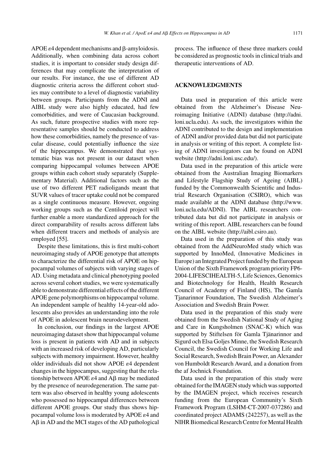$APOE \varepsilon 4$  dependent mechanisms and  $\beta$ -amyloidosis. Additionally, when combining data across cohort studies, it is important to consider study design differences that may complicate the interpretation of our results. For instance, the use of different AD diagnostic criteria across the different cohort studies may contribute to a level of diagnostic variability between groups. Participants from the ADNI and AIBL study were also highly educated, had few comorbidities, and were of Caucasian background. As such, future prospective studies with more representative samples should be conducted to address how these comorbidities, namely the presence of vascular disease, could potentially influence the size of the hippocampus. We demonstrated that systematic bias was not present in our dataset when comparing hippocampal volumes between APOE groups within each cohort study separately (Supplementary Material). Additional factors such as the use of two different PET radioligands meant that SUVR values of tracer uptake could not be compared as a single continuous measure. However, ongoing working groups such as the Centiloid project will further enable a more standardized approach for the direct comparability of results across different labs when different tracers and methods of analysis are employed [55].

Despite these limitations, this is first multi-cohort neuroimaging study of APOE genotype that attempts to characterize the differential risk of APOE on hippocampal volumes of subjects with varying stages of AD. Using metadata and clinical phenotyping pooled across several cohort studies, we were systematically able to demonstrate differential effects of the different APOE gene polymorphisms on hippocampal volume. An independent sample of healthy 14-year-old adolescents also provides an understanding into the role of APOE in adolescent brain neurodevelopment.

In conclusion, our findings in the largest APOE neuroimaging dataset show that hippocampal volume loss is present in patients with AD and in subjects with an increased risk of developing AD, particularly subjects with memory impairment. However, healthy older individuals did not show APOE  $\varepsilon$ 4 dependent changes in the hippocampus, suggesting that the relationship between APOE  $\varepsilon$ 4 and A $\beta$  may be mediated by the presence of neurodegeneration. The same pattern was also observed in healthy young adolescents who possessed no hippocampal differences between different APOE groups. Our study thus shows hippocampal volume loss is moderated by APOE  $\varepsilon$ 4 and  $A\beta$  in AD and the MCI stages of the AD pathological process. The influence of these three markers could be considered as prognostic tools in clinical trials and therapeutic interventions of AD.

## **ACKNOWLEDGMENTS**

Data used in preparation of this article were obtained from the Alzheimer's Disease Neuroimaging Initiative (ADNI) database ([http://adni.](http://adni.loni.ucla.edu) [loni.ucla.edu](http://adni.loni.ucla.edu)). As such, the investigators within the ADNI contributed to the design and implementation of ADNI and/or provided data but did not participate in analysis or writing of this report. A complete listing of ADNI investigators can be found on ADNI website [\(http://adni.loni.usc.edu/](http://adni.loni.usc.edu/)).

Data used in the preparation of this article were obtained from the Australian Imaging Biomarkers and Lifestyle Flagship Study of Ageing (AIBL) funded by the Commonwealth Scientific and Industrial Research Organisation (CSIRO), which was made available at the ADNI database ([http://www.](http://www.loni.ucla.edu/ADNI) [loni.ucla.edu/ADNI\)](http://www.loni.ucla.edu/ADNI). The AIBL researchers contributed data but did not participate in analysis or writing of this report. AIBL researchers can be found on the AIBL website (<http://aibl.csiro.au>).

Data used in the preparation of this study was obtained from the AddNeuroMed study which was supported by InnoMed, (Innovative Medicines in Europe) an Integrated Project funded by the European Union of the Sixth Framework program priority FP6- 2004-LIFESCIHEALTH-5, Life Sciences, Genomics and Biotechnology for Health, Health Research Council of Academy of Finland (HS), The Gamla Tjanarinnor Foundation, The Swedish Alzheimer's Association and Swedish Brain Power.

Data used in the preparation of this study were obtained from the Swedish National Study of Aging and Care in Kungsholmen (SNAC-K) which was supported by Stiftelsen för Gamla Tjänarinnor and Sigurd och Elsa Goljes Minne, the Swedish Research Council, the Swedish Council for Working Life and Social Research, Swedish Brain Power, an Alexander von Humboldt Research Award, and a donation from the af Jochnick Foundation.

Data used in the preparation of this study were obtained for the IMAGEN study which was supported by the IMAGEN project, which receives research funding from the European Community's Sixth Framework Program (LSHM-CT-2007-037286) and coordinated project ADAMS (242257), as well as the NIHR Biomedical Research Centre for Mental Health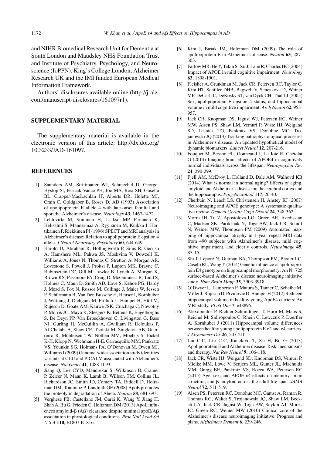and NIHR Biomedical Research Unit for Dementia at South London and Maudsley NHS Foundation Trust and Institute of Psychiatry, Psychology, and Neuroscience (IoPPN), King's College London, Alzheimer Research UK and the IMI funded European Medical Information Framework.

Authors' disclosures available online [\(http://j-alz.](http://j-alz.com/manuscript-disclosures/161097r1) [com/manuscript-disclosures/161097r1\)](http://j-alz.com/manuscript-disclosures/161097r1).

# **SUPPLEMENTARY MATERIAL**

The supplementary material is available in the electronic version of this article: [http://dx.doi.org/](http://dx.doi.org/10.3233/JAD-161097) [10.3233/JAD-161097.](http://dx.doi.org/10.3233/JAD-161097)

#### **REFERENCES**

- [1] Saunders AM, Strittmatter WJ, Schmechel D, George-Hyslop St, Pericak-Vance PH, Joo MA, Rosi SH, Gusella BL, Crapper-MacLachlan JF, Alberts DR, Hulette MJ, Crain C, Goldgaber B, Roses D, AD (1993) Association of apolipoprotein E allele 4 with late-onset familial and sporadic Alzheimer's disease. *Neurology* **43**, 1467-1472.
- [2] Lehtovirta M, Soininen H, Laakso MP, Partanen K, Helisalmi S, Mannermaa A, Ryynänen M, Kuikka J, Hartikainen P, Riekkinen PJ (1996) SPECT and MRI analysis in Alzheimer's disease: Relation to apolipoprotein E epsilon 4 allele. *J Neurol Neurosurg Psychiatry* **60**, 644-649.
- [3] Harold D, Abraham R, Hollingworth P, Sims R, Gerrish A, Hamshere ML, Pahwa JS, Moskvina V, Dowzell K, Williams A, Jones N, Thomas C, Stretton A, Morgan AR, Lovestone S, Powell J, Proitsi P, Lupton MK, Brayne C, Rubinsztein DC, Gill M, Lawlor B, Lynch A, Morgan K, Brown KS, Passmore PA, Craig D, McGuinness B, Todd S, Holmes C, Mann D, Smith AD, Love S, Kehoe PG, Hardy J, Mead S, Fox N, Rossor M, Collinge J, Maier W, Jessen F, Schürmann B, Van Den Bussche H, Heuser I, Kornhuber J, Wiltfang J, Dichgans M, Frölich L, Hampel H, Hüll M, Rujescu D, Goate AM, Kauwe JSK, Cruchaga C, Nowotny P, Morris JC, Mayo K, Sleegers K, Bettens K, Engelborghs S, De Deyn PP, Van Broeckhoven C, Livingston G, Bass NJ, Gurling H, McQuillin A, Gwilliam R, Deloukas P, Al-Chalabi A, Shaw CE, Tsolaki M, Singleton AB, Guerreiro R, Mühleisen TW, Nöthen MM, Moebus S, Jöckel K-H, Klopp N, Wichmann H-E, Carrasquillo MM, Pankratz VS, Younkin SG, Holmans PA, O'Donovan M, Owen MJ, Williams J (2009) Genome-wide association study identifies variants at CLU and PICALM associated with Alzheimer's disease. *Nat Genet* **41**, 1088-1093.
- [4] Jiang Q, Lee CYD, Mandrekar S, Wilkinson B, Cramer P, Zelcer N, Mann K, Lamb B, Willson TM, Collins JL, Richardson JC, Smith JD, Comery TA, Riddell D, Holtzman DM, Tontonoz P, Landreth GE (2008) ApoE promotes the proteolytic degradation of Abeta. *Neuron* **58**, 681-693.
- [5] Verghese PB, Castellano JM, Garai K, Wang Y, Jiang H, Shah A, Bu G, Frieden C, Holtzman DM (2013) ApoE influences amyloid- $\beta$  (A $\beta$ ) clearance despite minimal apoE/A $\beta$ association in physiological conditions. *Proc Natl Acad Sci USA* **110**, E1807-E1816.
- [6] Kim J, Basak JM, Holtzman DM (2009) The role of apolipoprotein E in Alzheimer's disease. *Neuron* **63**, 287- 303.
- [7] Farlow MR, He Y, Tekin S, Xu J, Lane R, Charles HC (2004) Impact of APOE in mild cognitive impairment. *Neurology* **63**, 1898-1901.
- [8] Fleisher A, Grundman M, Jack CR, Petersen RC, Taylor C, Kim HT, Schiller DHB, Bagwell V, Sencakova D, Weiner MF, DeCarli C, DeKosky ST, van Dyck CH, Thal LJ (2005) Sex, apolipoprotein E epsilon 4 status, and hippocampal volume in mild cognitive impairment. *Arch Neurol* **62**, 953- 957.
- [9] Jack CR, Knopman DS, Jagust WJ, Petersen RC, Weiner MW, Aisen PS, Shaw LM, Vemuri P, Wiste HJ, Weigand SD, Lesnick TG, Pankratz VS, Donohue MC, Trojanowski JQ (2013) Tracking pathophysiological processes in Alzheimer's disease: An updated hypothetical model of dynamic biomarkers. *Lancet Neurol* **12**, 207-216.
- [10] Fouquet M, Besson FL, Gonneaud J, La Joie R, Chételat G (2014) Imaging brain effects of APOE4 in cognitively normal individuals across the lifespan. *Neuropsychol Rev* **24**, 290-299.
- [11] Fjell AM, McEvoy L, Holland D, Dale AM, Walhovd KB (2014) What is normal in normal aging? Effects of aging, amyloid and Alzheimer's disease on the cerebral cortex and the hippocampus. *Prog Neurobiol* **117**, 20-40.
- [12] Cherbuin N, Leach LS, Christensen H, Anstey KJ (2007) Neuroimaging and APOE genotype: A systematic qualitative review. *Dement Geriatr Cogn Disord* **24**, 348-362.
- [13] Morra JH, Tu Z, Apostolova LG, Green AE, Avedissian C, Madsen SK, Parikshak N, Toga AW, Jack CR, Schuff N, Weiner MW, Thompson PM (2009) Automated mapping of hippocampal atrophy in 1-year repeat MRI data from 490 subjects with Alzheimer's disease, mild cognitive impairment, and elderly controls. *Neuroimage* **45**, S3-15.
- [14] Shi J, Leporé N, Gutman BA, Thompson PM, Baxter LC, Caselli RL, Wang Y (2014) Genetic influence of apolipoprotein E4 genotype on hippocampal morphometry: An N=725 surface-based Alzheimer's disease neuroimaging initiative study. *Hum Brain Mapp* **35**, 3903-3918.
- [15] O'Dwyer L, Lamberton F, Matura S, Tanner C, Scheibe M, Miller J, Rujescu D, Prvulovic D, Hampel H (2012) Reduced hippocampal volume in healthy young ApoE4 carriers: An MRI study. *PLoS One* **7**, e48895.
- [16] Alexopoulos P, Richter-Schmidinger T, Horn M, Maus S, Reichel M, Sidiropoulos C, Rhein C, Lewczuk P, Doerfler A, Kornhuber J (2011) Hippocampal volume differences between healthy young apolipoprotein E  $\varepsilon$ 2 and  $\varepsilon$ 4 carriers. *J Alzheimers Dis* **26**, 207-210.
- [17] Liu C-C, Liu C-C, Kanekiyo T, Xu H, Bu G (2013) Apolipoprotein E and Alzheimer disease: Risk, mechanisms and therapy. *Nat Rev Neurol* **9**, 106-118.
- [18] Jack CR, Wiste HJ, Weigand SD, Knopman DS, Vemuri P, Mielke MM, Lowe V, Senjem ML, Gunter JL, Machulda MM, Gregg BE, Pankratz VS, Rocca WA, Petersen RC (2015) Age, sex, and APOE  $\varepsilon$ 4 effects on memory, brain structure, and  $\beta$ -amyloid across the adult life span. *JAMA Neurol* **72**, 511-519.
- [19] Aisen PS, Petersen RC, Donohue MC, Gamst A, Raman R, Thomas RG, Walter S, Trojanowski JQ, Shaw LM, Beckett LA, Jack CR, Jagust W, Toga AW, Saykin AJ, Morris JC, Green RC, Weiner MW (2010) Clinical core of the Alzheimer's disease neuroimaging initiative: Progress and plans. *Alzheimers Dement* **6**, 239-246.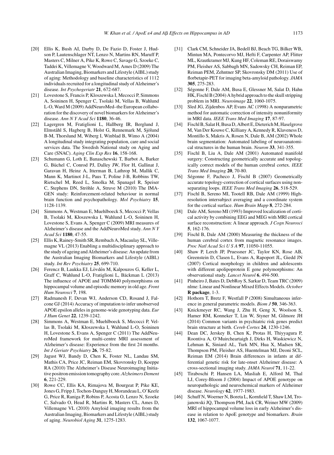- [20] Ellis K, Bush AI, Darby D, De Fazio D, Foster J, Hudson P, Lautenschlager NT, Lenzo N, Martins RN, Maruff P, Masters C, Milner A, Pike K, Rowe C, Savage G, Szoeke C, Taddei K, Villemagne V, Woodward M, Ames D (2009) The Australian Imaging, Biomarkers and Lifestyle (AIBL) study of aging: Methodology and baseline characteristics of 1112 individuals recruited for a longitudinal study of Alzheimer's disease. *Int Psychogeriatr* **21**, 672-687.
- [21] Lovestone S, Francis P, Kloszewska I, Mecocci P, Simmons A, Soininen H, Spenger C, Tsolaki M, Vellas B, Wahlund L-O, Ward M (2009) AddNeuroMed–the European collaboration for the discovery of novel biomarkers for Alzheimer's disease. *Ann N Y Acad Sci* **1180**, 36-46.
- [22] Lagergren M, Fratiglioni L, Hallberg IR, Berglund J, Elmståhl S, Hagberg B, Holst G, Rennemark M, Sjölund B-M, Thorslund M, Wiberg I, Winblad B, Wimo A (2004) A longitudinal study integrating population, care and social services data. The Swedish National study on Aging and Care (SNAC). *Aging Clin Exp Res* **16**, 158-168.
- [23] Schumann G, Loth E, Banaschewski T, Barbot A, Barker G, Büchel C, Conrod PJ, Dalley JW, Flor H, Gallinat J, Garavan H, Heinz A, Itterman B, Lathrop M, Mallik C, Mann K, Martinot J-L, Paus T, Poline J-B, Robbins TW, Rietschel M, Reed L, Smolka M, Spanagel R, Speiser C, Stephens DN, Ströhle A, Struve M (2010) The IMA-GEN study: Reinforcement-related behaviour in normal brain function and psychopathology. *Mol Psychiatry* **15**, 1128-1139.
- [24] Simmons A, Westman E, Muehlboeck S, Mecocci P, Vellas B, Tsolaki M, Kłoszewska I, Wahlund L-O, Soininen H, Lovestone S, Evans A, Spenger C (2009) MRI measures of Alzheimer's disease and the AddNeuroMed study. *Ann N Y Acad Sci* **1180**, 47-55.
- [25] Ellis K, Rainey-Smith SR, Rembach A, Macaulay SL, Villemagne VL (2013) Enabling a multidisciplinary approach to the study of ageing and Alzheimer's disease: An update from the Australian Imaging Biomarkers and Lifestyle (AIBL) study. *Int Rev Psychiatry* **25**, 699-710.
- [26] Ferencz B, Laukka EJ, Lövdén M, Kalpouzos G, Keller L, Graff C, Wahlund L-O, Fratiglioni L, Bäckman L (2013) The influence of APOE and TOMM40 polymorphisms on hippocampal volume and episodic memory in old age. *Front Hum Neurosci* **7**, 198.
- [27] Radmanesh F, Devan WJ, Anderson CD, Rosand J, Falcone GJ (2014) Accuracy of imputation to infer unobserved APOE epsilon alleles in genome-wide genotyping data. *Eur J Hum Genet* **22**, 1239-1242.
- [28] Simmons A, Westman E, Muehlboeck S, Mecocci P, Vellas B, Tsolaki M, Kłoszewska I, Wahlund L-O, Soininen H, Lovestone S, Evans A, Spenger C (2011) The AddNeuroMed framework for multi-centre MRI assessment of Alzheimer's disease: Experience from the first 24 months. *Int J Geriatr Psychiatry* **26**, 75-82.
- [29] Jagust WJ, Bandy D, Chen K, Foster NL, Landau SM, Mathis CA, Price JC, Reiman EM, Skovronsky D, Koeppe RA (2010) The Alzheimer's Disease Neuroimaging Initiative positron emission tomography core.*Alzheimers Dement* **6**, 221-229.
- [30] Rowe CC, Ellis KA, Rimajova M, Bourgeat P, Pike KE, Jones G, Fripp J, Tochon-Danguy H, Morandeau L, O'Keefe G, Price R, Raniga P, Robins P, Acosta O, Lenzo N, Szoeke C, Salvado O, Head R, Martins R, Masters CL, Ames D, Villemagne VL (2010) Amyloid imaging results from the Australian Imaging, Biomarkers and Lifestyle (AIBL) study of aging. *Neurobiol Aging* **31**, 1275-1283.
- [31] Clark CM, Schneider JA, Bedell BJ, Beach TG, Bilker WB, Mintun MA, Pontecorvo MJ, Hefti F, Carpenter AP, Flitter ML, Krautkramer MJ, Kung HF, Coleman RE, Doraiswamy PM, Fleisher AS, Sabbagh MN, Sadowsky CH, Reiman EP, Reiman PEM, Zehntner SP, Skovronsky DM (2011) Use of florbetapir-PET for imaging beta-amyloid pathology. *JAMA* **305**, 275-283.
- [32] Ségonne F, Dale AM, Busa E, Glessner M, Salat D, Hahn HK, Fischl B (2004) A hybrid approach to the skull stripping problem in MRI. *Neuroimage* **22**, 1060-1075.
- [33] Sled JG, Zijdenbos AP, Evans AC (1998) A nonparametric method for automatic correction of intensity nonuniformity in MRI data. *IEEE Trans Med Imaging* **17**, 87-97.
- [34] Fischl B, Salat H, Busa D, Albert E, Dieterich M, Haselgrove M, Van Der Kouwe C, Killiany A, Kennedy R, Klaveness D, Montillo S, Makris A, Rosen N, Dale B, AM (2002) Whole brain segmentation: Automated labeling of neuroanatomical structures in the human brain. *Neuron* **33**, 341-355.
- [35] Fischl B, Liu A, Dale AM (2001) Automated manifold surgery: Constructing geometrically accurate and topologically correct models of the human cerebral cortex. *IEEE Trans Med Imaging* **20**, 70-80.
- [36] Ségonne F, Pacheco J, Fischl B (2007) Geometrically accurate topology-correction of cortical surfaces using nonseparating loops. *IEEE Trans Med Imaging* **26**, 518-529.
- [37] Fischl B, Sereno MI, Tootell RB, Dale AM (1999) Highresolution intersubject averaging and a coordinate system for the cortical surface. *Hum Brain Mapp* **8**, 272-284.
- [38] Dale AM, Sereno MI (1993) Improved localization of cortical activity by combining EEG and MEG with MRI cortical surface reconstruction: A linear approach. *J Cogn Neurosci* **5**, 162-176.
- [39] Fischl B, Dale AM (2000) Measuring the thickness of the human cerebral cortex from magnetic resonance images. *Proc Natl Acad SciUSA* **97**, 11050-11055.
- [40] Shaw P, Lerch JP, Pruessner JC, Taylor KN, Rose AB, Greenstein D, Clasen L, Evans A, Rapoport JL, Giedd JN (2007) Cortical morphology in children and adolescents with different apolipoprotein E gene polymorphisms: An observational study. *Lancet Neurol* **6**, 494-500.
- [41] Pinheiro J, Bates D, DebRoy S, Sarkar D, Team TRC (2009) nlme: Linear and Nonlinear Mixed Effects Models. *October* **R package**, 1-3.
- [42] Hothorn T, Bretz F, Westfall P (2008) Simultaneous inference in general parametric models. *Biom J* **50**, 346-363.
- [43] Knickmeyer RC, Wang J, Zhu H, Geng X, Woolson S, Hamer RM, Konneker T, Lin W, Styner M, Gilmore JH (2014) Common variants in psychiatric risk genes predict brain structure at birth. *Cereb Cortex* **24**, 1230-1246.
- [44] Dean DC, Jerskey B, Chen K, Protas H, Thiyyagura P, Roontiva A, O'Muircheartaigh J, Dirks H, Waskiewicz N, Lehman K, Siniard AL, Turk MN, Hua X, Madsen SK, Thompson PM, Fleisher AS, Huentelman MJ, Deoni SCL, Reiman EM (2014) Brain differences in infants at differential genetic risk for late-onset Alzheimer disease: A cross-sectional imaging study. *JAMA Neurol* **71**, 11-22.
- [45] Tiraboschi P, Hansen LA, Masliah E, Alford M, Thal LJ, Corey-Bloom J (2004) Impact of APOE genotype on neuropathologic and neurochemical markers of Alzheimer disease. *Neurology* **62**, 1977-1983.
- [46] Schuff N, Woerner N, Boreta L, Kornfield T, Shaw LM, Trojanowski JQ, Thompson PM, Jack CR, Weiner MW (2009) MRI of hippocampal volume loss in early Alzheimer's disease in relation to ApoE genotype and biomarkers. *Brain* **132**, 1067-1077.